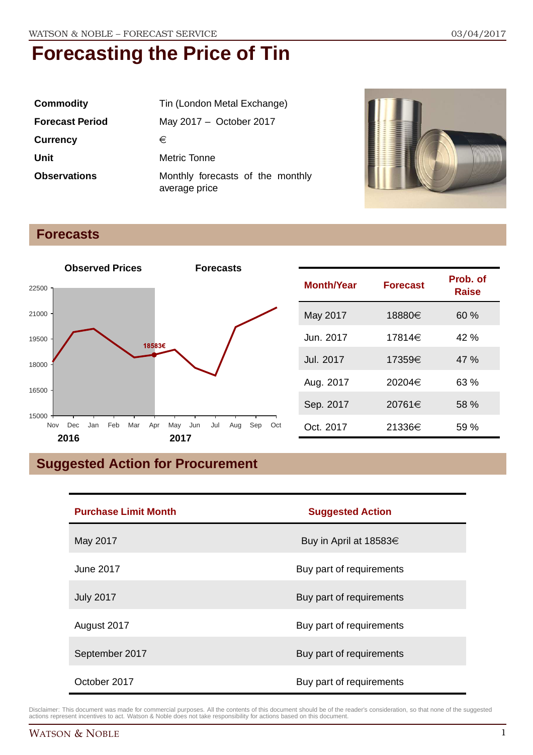| <b>Commodity</b>       | Tin (London Metal Exchange)                       |  |
|------------------------|---------------------------------------------------|--|
| <b>Forecast Period</b> | May 2017 - October 2017                           |  |
| <b>Currency</b>        | €                                                 |  |
| Unit                   | Metric Tonne                                      |  |
| <b>Observations</b>    | Monthly forecasts of the monthly<br>average price |  |



### **Forecasts**



## **Suggested Action for Procurement**

| <b>Purchase Limit Month</b> | <b>Suggested Action</b>  |
|-----------------------------|--------------------------|
| May 2017                    | Buy in April at 18583€   |
| June 2017                   | Buy part of requirements |
| <b>July 2017</b>            | Buy part of requirements |
| August 2017                 | Buy part of requirements |
| September 2017              | Buy part of requirements |
| October 2017                | Buy part of requirements |

Disclaimer: This document was made for commercial purposes. All the contents of this document should be of the reader's consideration, so that none of the suggested actions represent incentives to act. Watson & Noble does not take responsibility for actions based on this document.

**Raise**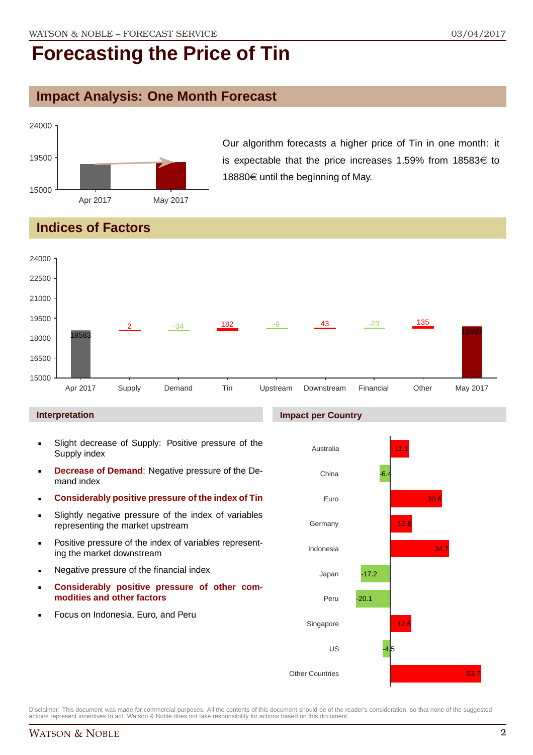### **Impact Analysis: One Month Forecast**



Our algorithm forecasts a higher price of Tin in one month: it is expectable that the price increases 1.59% from 18583 $\in$  to 18880 $\in$  until the beginning of May.

### **Indices of Factors**



### **Interpretation**

- Slight decrease of Supply: Positive pressure of the Supply index
- **Decrease of Demand**: Negative pressure of the Demand index
- **Considerably positive pressure of the index of Tin**
- Slightly negative pressure of the index of variables representing the market upstream
- **Positive pressure of the index of variables represent**ing the market downstream
- **Negative pressure of the financial index**
- **Considerably positive pressure of other commodities and other factors**
- Focus on Indonesia, Euro, and Peru

### **Impact per Country**

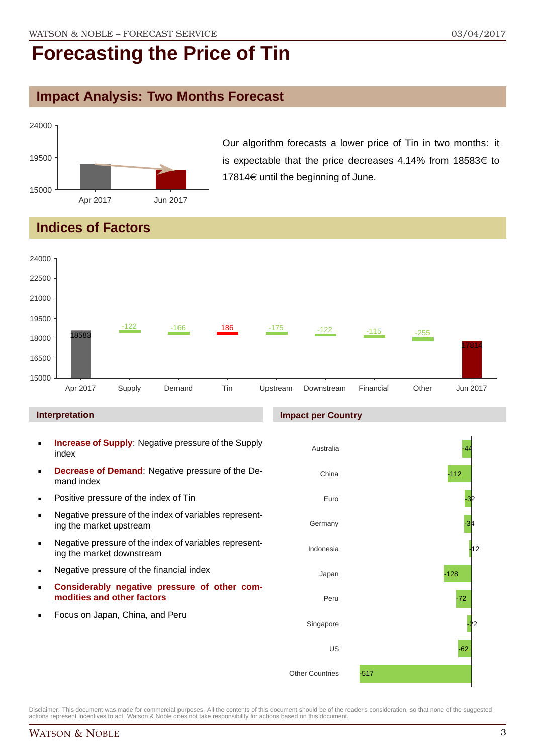### **Impact Analysis: Two Months Forecast**



Our algorithm forecasts a lower price of Tin in two months: it is expectable that the price decreases 4.14% from 18583 $\in$  to 17814 $\in$  until the beginning of June.

### **Indices of Factors**



- **Negative pressure of the financial index**
- **Considerably negative pressure of other commodities and other factors**
- Focus on Japan, China, and Peru

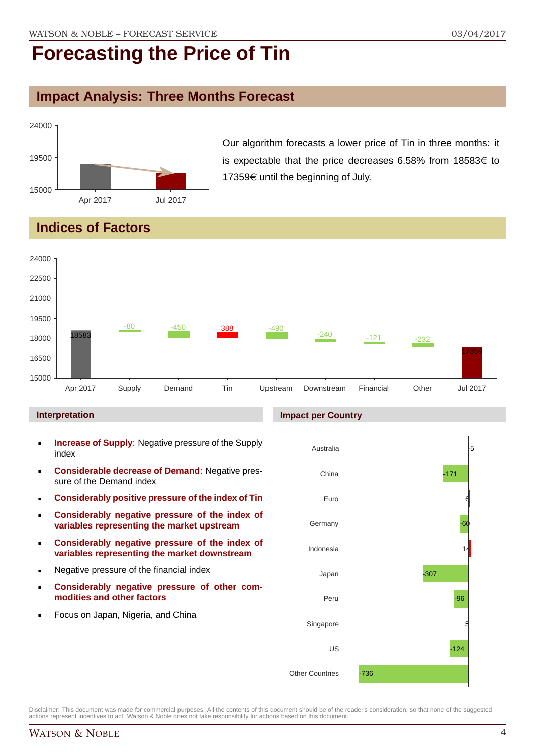### **Impact Analysis: Three Months Forecast**



Our algorithm forecasts a lower price of Tin in three months: it is expectable that the price decreases 6.58% from 18583 $\in$  to 17359 $\in$  until the beginning of July.

### **Indices of Factors**



#### **Interpretation**

- **Increase of Supply**: Negative pressure of the Supply index
- **Considerable decrease of Demand**: Negative pressure of the Demand index
- **Considerably positive pressure of the index of Tin**
- **Considerably negative pressure of the index of variables representing the market upstream**
- **Considerably negative pressure of the index of variables representing the market downstream**
- **Negative pressure of the financial index**
- **Considerably negative pressure of other commodities and other factors**
- **Focus on Japan, Nigeria, and China**

#### **Impact per Country**

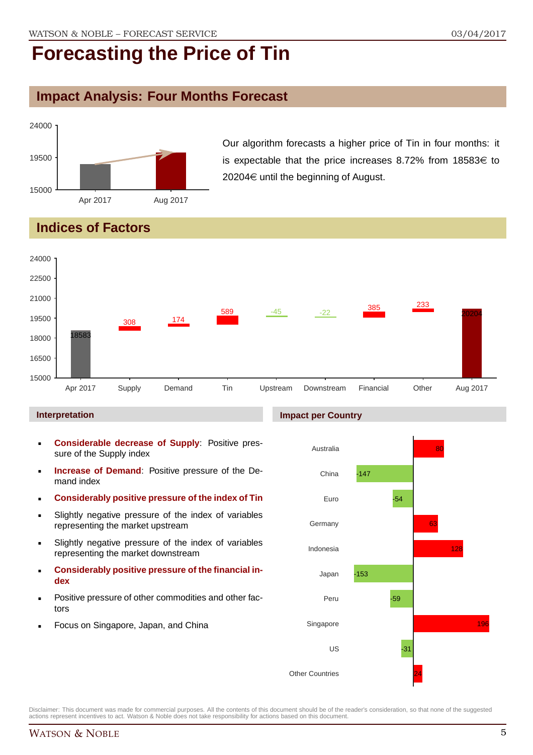### **Impact Analysis: Four Months Forecast**



Our algorithm forecasts a higher price of Tin in four months: it is expectable that the price increases 8.72% from 18583 $\in$  to  $20204 \in \mathsf{until}$  the beginning of August.

### **Indices of Factors**



#### **Interpretation**

- **Considerable decrease of Supply**: Positive pressure of the Supply index
- **Increase of Demand**: Positive pressure of the Demand index
- **Considerably positive pressure of the index of Tin**
- Slightly negative pressure of the index of variables representing the market upstream
- Slightly negative pressure of the index of variables representing the market downstream
- **Considerably positive pressure of the financial index**
- Positive pressure of other commodities and other factors
- Focus on Singapore, Japan, and China

#### **Impact per Country**

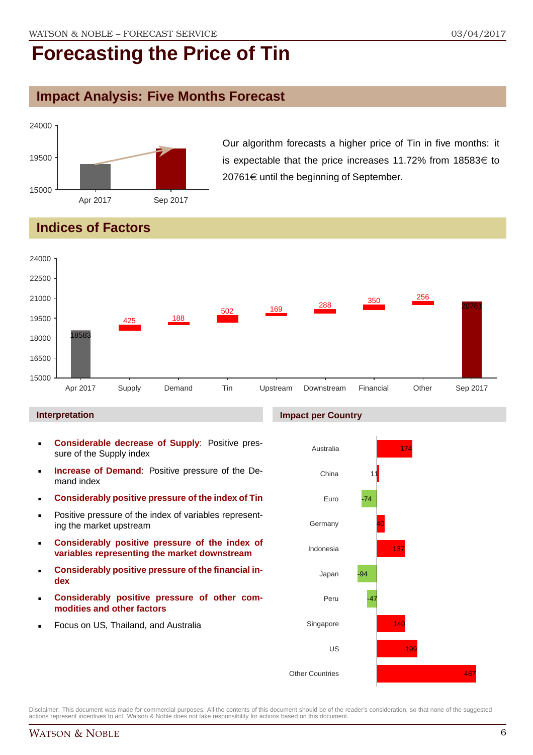### **Impact Analysis: Five Months Forecast**



Our algorithm forecasts a higher price of Tin in five months: it is expectable that the price increases 11.72% from 18583 $\in$  to  $20761 \in$  until the beginning of September.

## **Indices of Factors**



### **Interpretation**

- **Considerable decrease of Supply**: Positive pressure of the Supply index
- **Increase of Demand**: Positive pressure of the Demand index
- **Considerably positive pressure of the index of Tin**
- **Positive pressure of the index of variables represent**ing the market upstream
- **Considerably positive pressure of the index of variables representing the market downstream**
- **Considerably positive pressure of the financial index**
- **Considerably positive pressure of other commodities and other factors**
- Focus on US, Thailand, and Australia

### **Impact per Country**

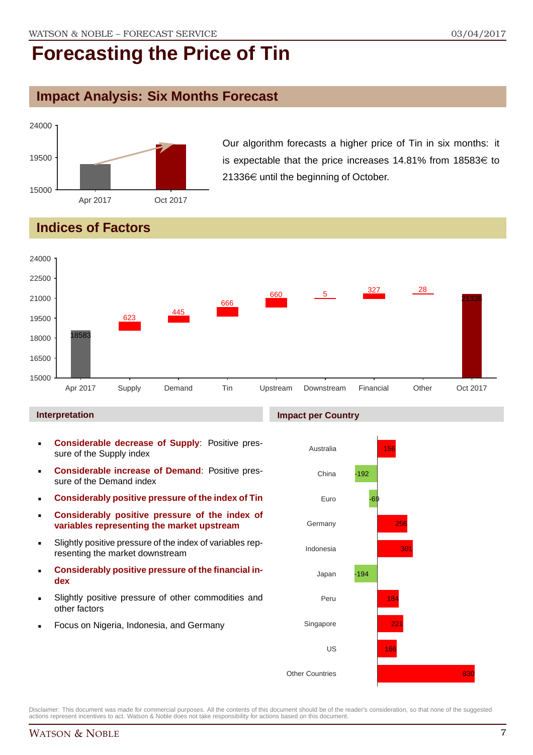### **Impact Analysis: Six Months Forecast**



Our algorithm forecasts a higher price of Tin in six months: it is expectable that the price increases 14.81% from 18583 $\in$  to 21336 $\epsilon$  until the beginning of October.

## **Indices of Factors**



#### **Interpretation**

- **Considerable decrease of Supply**: Positive pressure of the Supply index
- **Considerable increase of Demand**: Positive pressure of the Demand index
- **Considerably positive pressure of the index of Tin**
- **Considerably positive pressure of the index of variables representing the market upstream**
- Slightly positive pressure of the index of variables representing the market downstream
- **Considerably positive pressure of the financial index**
- Slightly positive pressure of other commodities and other factors
- Focus on Nigeria, Indonesia, and Germany

#### **Impact per Country**

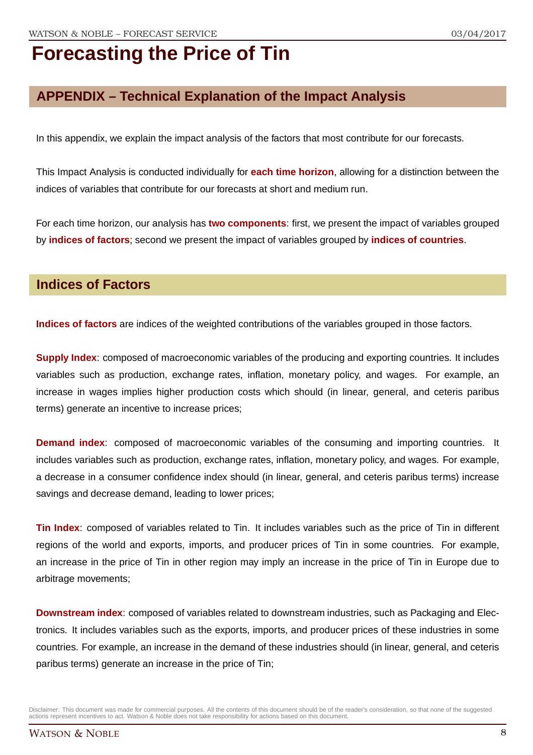### **APPENDIX – Technical Explanation of the Impact Analysis**

In this appendix, we explain the impact analysis of the factors that most contribute for our forecasts.

This Impact Analysis is conducted individually for **each time horizon**, allowing for a distinction between the indices of variables that contribute for our forecasts at short and medium run.

For each time horizon, our analysis has **two components**: first, we present the impact of variables grouped by **indices of factors**; second we present the impact of variables grouped by **indices of countries**.

### **Indices of Factors**

**Indices of factors** are indices of the weighted contributions of the variables grouped in those factors.

**Supply Index**: composed of macroeconomic variables of the producing and exporting countries. It includes variables such as production, exchange rates, inflation, monetary policy, and wages. For example, an increase in wages implies higher production costs which should (in linear, general, and ceteris paribus terms) generate an incentive to increase prices;

**Demand index**: composed of macroeconomic variables of the consuming and importing countries. It includes variables such as production, exchange rates, inflation, monetary policy, and wages. For example, a decrease in a consumer confidence index should (in linear, general, and ceteris paribus terms) increase savings and decrease demand, leading to lower prices;

**Tin Index**: composed of variables related to Tin. It includes variables such as the price of Tin in different regions of the world and exports, imports, and producer prices of Tin in some countries. For example, an increase in the price of Tin in other region may imply an increase in the price of Tin in Europe due to arbitrage movements;

**Downstream index**: composed of variables related to downstream industries, such as Packaging and Electronics. It includes variables such as the exports, imports, and producer prices of these industries in some countries. For example, an increase in the demand of these industries should (in linear, general, and ceteris paribus terms) generate an increase in the price of Tin;